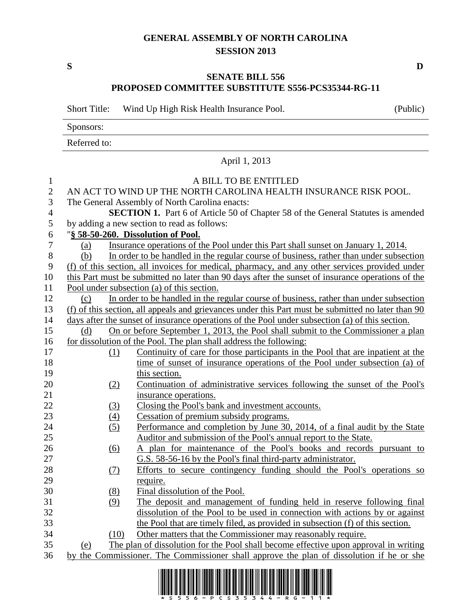## **GENERAL ASSEMBLY OF NORTH CAROLINA SESSION 2013**

**S D**

## **SENATE BILL 556 PROPOSED COMMITTEE SUBSTITUTE S556-PCS35344-RG-11**

Short Title: Wind Up High Risk Health Insurance Pool. (Public)

Sponsors:

Referred to:

|                          |                                                                                          | April 1, 2013                                                                                      |  |
|--------------------------|------------------------------------------------------------------------------------------|----------------------------------------------------------------------------------------------------|--|
| $\mathbf{1}$             |                                                                                          | A BILL TO BE ENTITLED                                                                              |  |
| $\overline{2}$           |                                                                                          | AN ACT TO WIND UP THE NORTH CAROLINA HEALTH INSURANCE RISK POOL.                                   |  |
| 3                        |                                                                                          | The General Assembly of North Carolina enacts:                                                     |  |
| $\overline{\mathcal{L}}$ |                                                                                          | <b>SECTION 1.</b> Part 6 of Article 50 of Chapter 58 of the General Statutes is amended            |  |
| 5                        |                                                                                          | by adding a new section to read as follows:                                                        |  |
| 6                        |                                                                                          | "§ 58-50-260. Dissolution of Pool.                                                                 |  |
| $\overline{7}$           | (a)                                                                                      | Insurance operations of the Pool under this Part shall sunset on January 1, 2014.                  |  |
| 8                        | (b)                                                                                      | In order to be handled in the regular course of business, rather than under subsection             |  |
| 9                        |                                                                                          | (f) of this section, all invoices for medical, pharmacy, and any other services provided under     |  |
| 10                       |                                                                                          | this Part must be submitted no later than 90 days after the sunset of insurance operations of the  |  |
| 11                       |                                                                                          | Pool under subsection (a) of this section.                                                         |  |
| 12                       | (c)                                                                                      | In order to be handled in the regular course of business, rather than under subsection             |  |
| 13                       |                                                                                          | (f) of this section, all appeals and grievances under this Part must be submitted no later than 90 |  |
| 14                       |                                                                                          | days after the sunset of insurance operations of the Pool under subsection (a) of this section.    |  |
| 15                       | (d)                                                                                      | On or before September 1, 2013, the Pool shall submit to the Commissioner a plan                   |  |
| 16                       |                                                                                          | for dissolution of the Pool. The plan shall address the following:                                 |  |
| 17                       | (1)                                                                                      | Continuity of care for those participants in the Pool that are inpatient at the                    |  |
| 18                       |                                                                                          | time of sunset of insurance operations of the Pool under subsection (a) of                         |  |
| 19                       |                                                                                          | this section.                                                                                      |  |
| 20                       | (2)                                                                                      | Continuation of administrative services following the sunset of the Pool's                         |  |
| 21                       |                                                                                          | insurance operations.                                                                              |  |
| 22                       | (3)                                                                                      | Closing the Pool's bank and investment accounts.                                                   |  |
| 23                       | (4)                                                                                      | Cessation of premium subsidy programs.                                                             |  |
| 24                       | (5)                                                                                      | Performance and completion by June 30, 2014, of a final audit by the State                         |  |
| 25                       |                                                                                          | Auditor and submission of the Pool's annual report to the State.                                   |  |
| 26                       | (6)                                                                                      | A plan for maintenance of the Pool's books and records pursuant to                                 |  |
| 27                       |                                                                                          | G.S. 58-56-16 by the Pool's final third-party administrator.                                       |  |
| 28                       | (7)                                                                                      | Efforts to secure contingency funding should the Pool's operations so                              |  |
| 29                       |                                                                                          | require.                                                                                           |  |
| 30                       | (8)                                                                                      | Final dissolution of the Pool.                                                                     |  |
| 31                       | (9)                                                                                      | The deposit and management of funding held in reserve following final                              |  |
| 32                       |                                                                                          | dissolution of the Pool to be used in connection with actions by or against                        |  |
| 33                       |                                                                                          | the Pool that are timely filed, as provided in subsection (f) of this section.                     |  |
| 34                       | (10)                                                                                     | Other matters that the Commissioner may reasonably require.                                        |  |
| 35                       | (e)                                                                                      | The plan of dissolution for the Pool shall become effective upon approval in writing               |  |
| 36                       | by the Commissioner. The Commissioner shall approve the plan of dissolution if he or she |                                                                                                    |  |